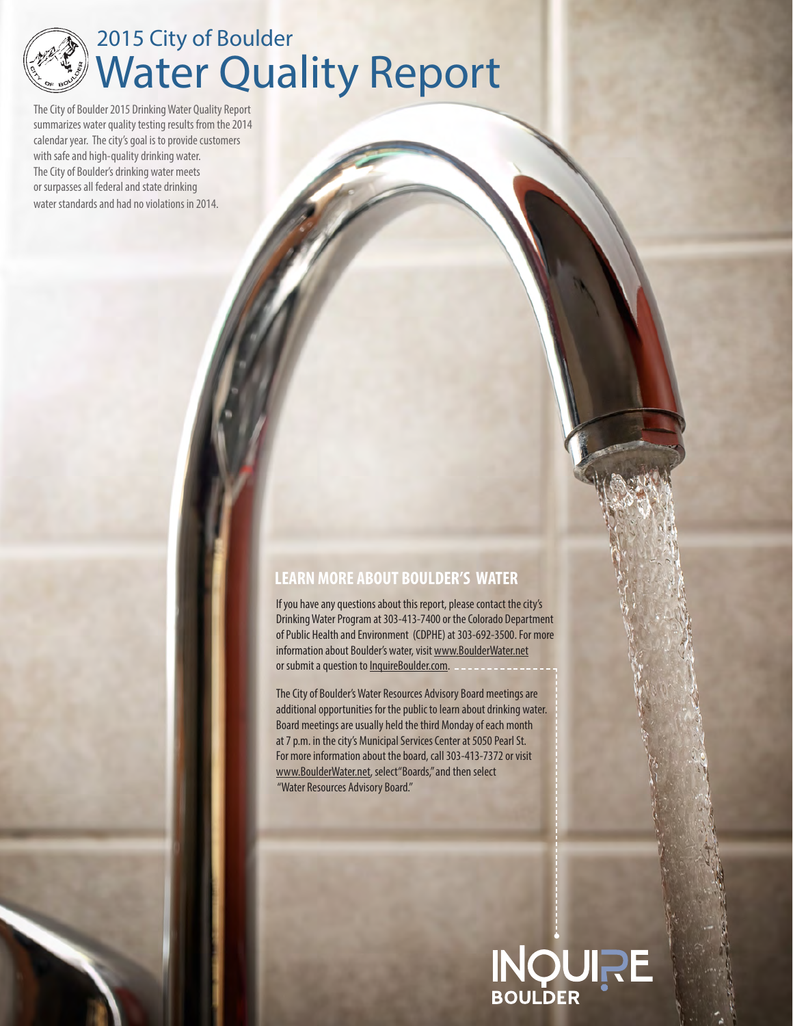

# Water Quality Report 2015 City of Boulder

The City of Boulder 2015 Drinking Water Quality Report summarizes water quality testing results from the 2014 calendar year. The city's goal is to provide customers with safe and high-quality drinking water. The City of Boulder's drinking water meets or surpasses all federal and state drinking water standards and had no violations in 2014.

### **LEARN MORE ABOUT BOULDER'S WATER**

If you have any questions about this report, please contact the city's Drinking Water Program at 303-413-7400 or the Colorado Department of Public Health and Environment (CDPHE) at 303-692-3500. For more information about Boulder's water, visit [www.BoulderWater.net](http://www.BoulderWater.net) or submit a question to InquireBoulder.com.

The City of Boulder's Water Resources Advisory Board meetings are additional opportunities for the public to learn about drinking water. Board meetings are usually held the third Monday of each month at 7 p.m. in the city's Municipal Services Center at 5050 Pearl St. For more information about the board, call 303-413-7372 or visit [www.BoulderWater.net, s](http://www.BoulderWater.net)elect"Boards," and then select "Water Resources Advisory Board."

# **INQURE**<br>BOULDER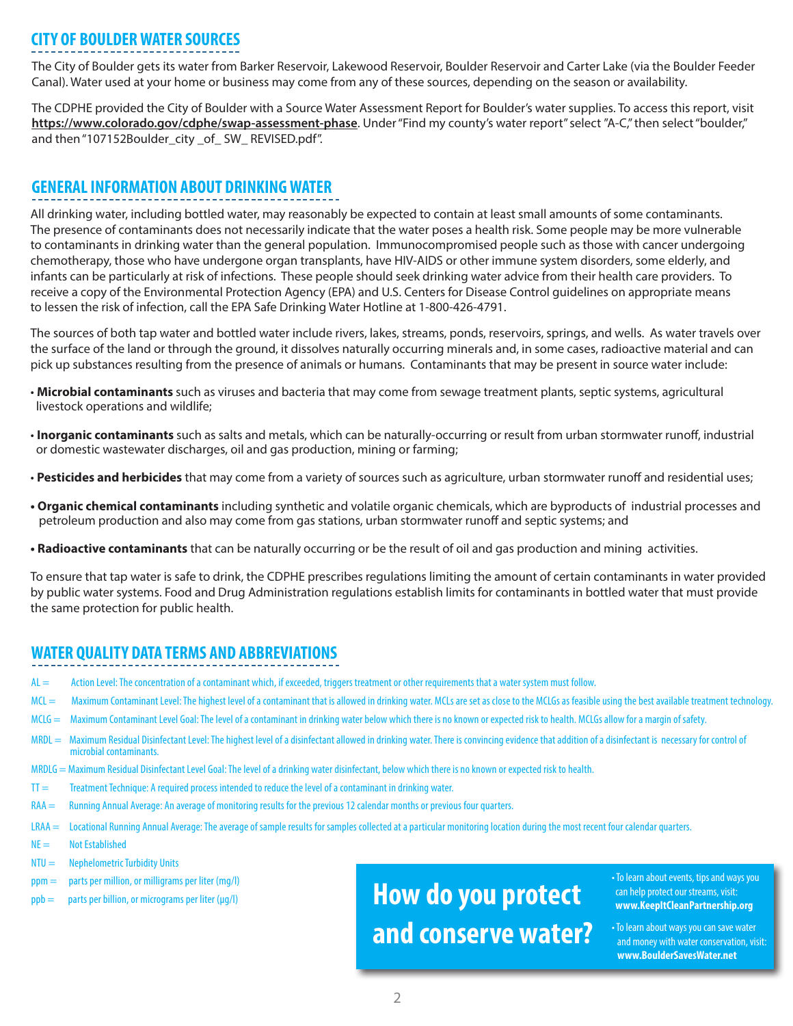### **CITY OF BOULDER WATER SOURCES**

The City of Boulder gets its water from Barker Reservoir, Lakewood Reservoir, Boulder Reservoir and Carter Lake (via the Boulder Feeder Canal). Water used at your home or business may come from any of these sources, depending on the season or availability.

The CDPHE provided the City of Boulder with a Source Water Assessment Report for Boulder's water supplies. To access this report, visit **<https://www.colorado.gov/cdphe/swap-assessment-phase>**. Under "Find my county's water report" select "A-C," then select "boulder," and then "107152Boulder\_city \_of\_ SW\_ REVISED.pdf".

#### **GENERAL INFORMATION ABOUT DRINKING WATER**

All drinking water, including bottled water, may reasonably be expected to contain at least small amounts of some contaminants. The presence of contaminants does not necessarily indicate that the water poses a health risk. Some people may be more vulnerable to contaminants in drinking water than the general population. Immunocompromised people such as those with cancer undergoing chemotherapy, those who have undergone organ transplants, have HIV-AIDS or other immune system disorders, some elderly, and infants can be particularly at risk of infections. These people should seek drinking water advice from their health care providers. To receive a copy of the Environmental Protection Agency (EPA) and U.S. Centers for Disease Control guidelines on appropriate means to lessen the risk of infection, call the EPA Safe Drinking Water Hotline at 1-800-426-4791.

The sources of both tap water and bottled water include rivers, lakes, streams, ponds, reservoirs, springs, and wells. As water travels over the surface of the land or through the ground, it dissolves naturally occurring minerals and, in some cases, radioactive material and can pick up substances resulting from the presence of animals or humans. Contaminants that may be present in source water include:

- **Microbial contaminants** such as viruses and bacteria that may come from sewage treatment plants, septic systems, agricultural livestock operations and wildlife;
- **Inorganic contaminants** such as salts and metals, which can be naturally-occurring or result from urban stormwater runoff, industrial or domestic wastewater discharges, oil and gas production, mining or farming;
- **Pesticides and herbicides** that may come from a variety of sources such as agriculture, urban stormwater runoff and residential uses;
- **Organic chemical contaminants** including synthetic and volatile organic chemicals, which are byproducts of industrial processes and petroleum production and also may come from gas stations, urban stormwater runoff and septic systems; and
- **Radioactive contaminants** that can be naturally occurring or be the result of oil and gas production and mining activities.

To ensure that tap water is safe to drink, the CDPHE prescribes regulations limiting the amount of certain contaminants in water provided by public water systems. Food and Drug Administration regulations establish limits for contaminants in bottled water that must provide the same protection for public health.

### **WATER QUALITY DATA TERMS AND ABBREVIATIONS**

- AL = Action Level: The concentration of a contaminant which, if exceeded, triggers treatment or other requirements that a water system must follow.
- MCL = Maximum Contaminant Level: The highest level of a contaminant that is allowed in drinking water. MCLs are set as close to the MCLGs as feasible using the best available treatment technology.
- MCLG = Maximum Contaminant Level Goal: The level of a contaminant in drinking water below which there is no known or expected risk to health. MCLGs allow for a margin of safety.
- MRDL = Maximum Residual Disinfectant Level: The highest level of a disinfectant allowed in drinking water. There is convincing evidence that addition of a disinfectant is necessary for control of microbial contaminants.
- MRDLG = Maximum Residual Disinfectant Level Goal: The level of a drinking water disinfectant, below which there is no known or expected risk to health.
- TT = Treatment Technique: A required process intended to reduce the level of a contaminant in drinking water.
- RAA = Running Annual Average: An average of monitoring results for the previous 12 calendar months or previous four quarters.
- LRAA = Locational Running Annual Average: The average of sample results for samples collected at a particular monitoring location during the most recent four calendar quarters.
- $NE =$  Not Established
- $NTU =$  Nephelometric Turbidity Units
- ppm = parts per million, or milligrams per liter (mg/l)
- I  $ppb =$  parts per billion, or micrograms per liter ( $\mu$ g/l)

# **How do you protect and conserve water?**

• To learn about events, tips and ways you can help protect our streams, visit: **[www.KeepItCleanPartnership.org](http://www.KeepItCleanPartnership.org)**

• To learn about ways you can save water and money with water conservation, visit:  **[www.BoulderSavesWater.net](http://www.BoulderSavesWater.net)**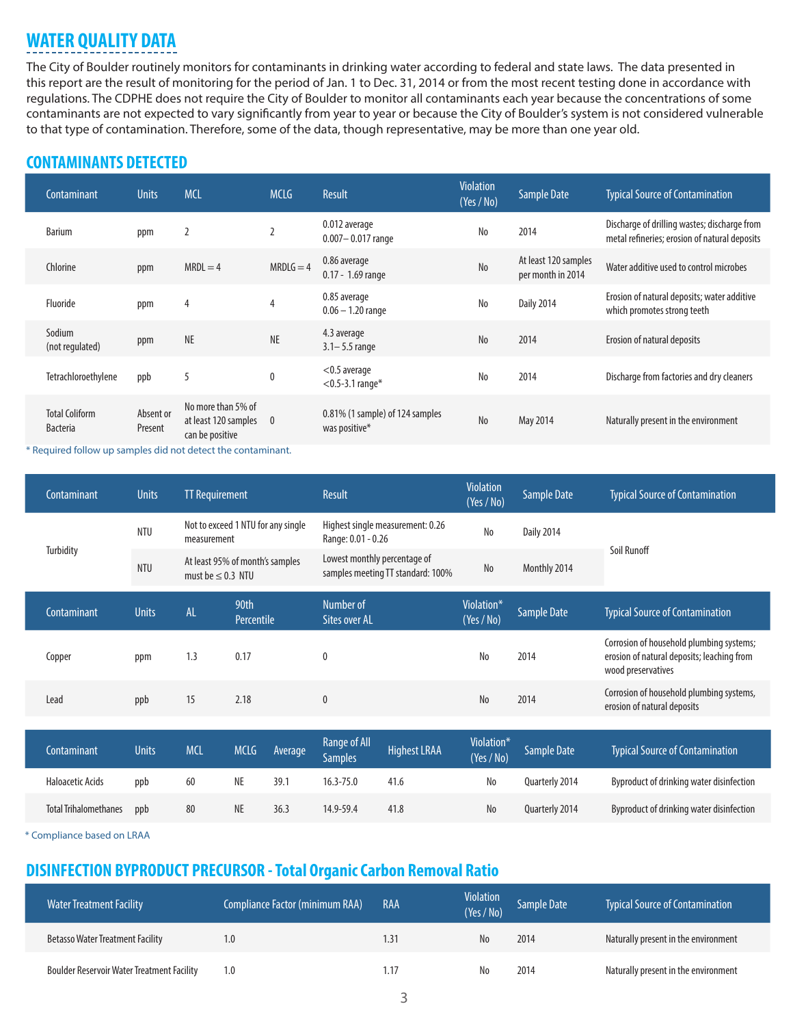## **WATER QUALITY DATA**

The City of Boulder routinely monitors for contaminants in drinking water according to federal and state laws. The data presented in this report are the result of monitoring for the period of Jan. 1 to Dec. 31, 2014 or from the most recent testing done in accordance with regulations. The CDPHE does not require the City of Boulder to monitor all contaminants each year because the concentrations of some contaminants are not expected to vary significantly from year to year or because the City of Boulder's system is not considered vulnerable to that type of contamination. Therefore, some of the data, though representative, may be more than one year old.

### **CONTAMINANTS DETECTED**

| Contaminant                              | <b>Units</b>         | <b>MCL</b>                                                                      | <b>MCLG</b>              | Result                                           | <b>Violation</b><br>(Yes / No) | <b>Sample Date</b>                        | <b>Typical Source of Contamination</b>                                                        |
|------------------------------------------|----------------------|---------------------------------------------------------------------------------|--------------------------|--------------------------------------------------|--------------------------------|-------------------------------------------|-----------------------------------------------------------------------------------------------|
| <b>Barium</b>                            | ppm                  |                                                                                 | $\overline{2}$           | 0.012 average<br>$0.007 - 0.017$ range           | No                             | 2014                                      | Discharge of drilling wastes; discharge from<br>metal refineries; erosion of natural deposits |
| Chlorine                                 | ppm                  | $MRDL = 4$                                                                      | $MRDLG = 4$              | 0.86 average<br>$0.17 - 1.69$ range              | N <sub>o</sub>                 | At least 120 samples<br>per month in 2014 | Water additive used to control microbes                                                       |
| Fluoride                                 | ppm                  | 4                                                                               | 4                        | 0.85 average<br>$0.06 - 1.20$ range              | No                             | <b>Daily 2014</b>                         | Erosion of natural deposits; water additive<br>which promotes strong teeth                    |
| Sodium<br>(not regulated)                | ppm                  | <b>NE</b>                                                                       | <b>NE</b>                | 4.3 average<br>$3.1 - 5.5$ range                 | N <sub>o</sub>                 | 2014                                      | Erosion of natural deposits                                                                   |
| Tetrachloroethylene                      | ppb                  | 5                                                                               | $\pmb{0}$                | $<$ 0.5 average<br>$<$ 0.5-3.1 range*            | N <sub>0</sub>                 | 2014                                      | Discharge from factories and dry cleaners                                                     |
| <b>Total Coliform</b><br><b>Bacteria</b> | Absent or<br>Present | No more than 5% of<br>at least 120 samples<br>can be positive                   | $\overline{\phantom{0}}$ | 0.81% (1 sample) of 124 samples<br>was positive* | N <sub>0</sub>                 | May 2014                                  | Naturally present in the environment                                                          |
| .                                        |                      | the contract of the contract of the contract of the contract of the contract of |                          |                                                  |                                |                                           |                                                                                               |

\* Required follow up samples did not detect the contaminant.

| Contaminant                  | <b>Units</b> | <b>TT Requirement</b>                                     |                    |         | <b>Result</b>                                                     |                     | <b>Violation</b><br>(Yes / No) | <b>Sample Date</b> | <b>Typical Source of Contamination</b>                                                                       |
|------------------------------|--------------|-----------------------------------------------------------|--------------------|---------|-------------------------------------------------------------------|---------------------|--------------------------------|--------------------|--------------------------------------------------------------------------------------------------------------|
|                              | <b>NTU</b>   | Not to exceed 1 NTU for any single<br>measurement         |                    |         | Highest single measurement: 0.26<br>Range: 0.01 - 0.26            |                     | No                             | <b>Daily 2014</b>  | Soil Runoff                                                                                                  |
| Turbidity                    | <b>NTU</b>   | At least 95% of month's samples<br>must be $\leq$ 0.3 NTU |                    |         | Lowest monthly percentage of<br>samples meeting TT standard: 100% |                     | No                             | Monthly 2014       |                                                                                                              |
| Contaminant                  | <b>Units</b> | <b>AL</b>                                                 | 90th<br>Percentile |         | Number of<br><b>Sites over AL</b>                                 |                     | Violation*<br>(Yes / No)       | Sample Date        | <b>Typical Source of Contamination</b>                                                                       |
| Copper                       | ppm          | 1.3                                                       | 0.17               |         | $\mathbf{0}$                                                      |                     | No                             | 2014               | Corrosion of household plumbing systems;<br>erosion of natural deposits; leaching from<br>wood preservatives |
| Lead                         | ppb          | 15                                                        | 2.18               |         | $\mathbf{0}$                                                      |                     | N <sub>o</sub>                 | 2014               | Corrosion of household plumbing systems,<br>erosion of natural deposits                                      |
|                              | <b>Units</b> | <b>MCL</b>                                                | <b>MCLG</b>        |         | <b>Range of All</b>                                               |                     | Violation*                     |                    |                                                                                                              |
| Contaminant                  |              |                                                           |                    | Average | <b>Samples</b>                                                    | <b>Highest LRAA</b> | (Yes / No)                     | <b>Sample Date</b> | <b>Typical Source of Contamination</b>                                                                       |
| <b>Haloacetic Acids</b>      | ppb          | 60                                                        | <b>NE</b>          | 39.1    | $16.3 - 75.0$                                                     | 41.6                | No                             | Quarterly 2014     | Byproduct of drinking water disinfection                                                                     |
| <b>Total Trihalomethanes</b> | ppb          | 80                                                        | <b>NE</b>          | 36.3    | 14.9-59.4                                                         | 41.8                | No                             | Quarterly 2014     | Byproduct of drinking water disinfection                                                                     |

\* Compliance based on LRAA

### **DISINFECTION BYPRODUCT PRECURSOR - Total Organic Carbon Removal Ratio**

| <b>Water Treatment Facility</b>                   | Compliance Factor (minimum RAA) | RAA  | <b>Violation</b><br>(Yes / No) | Sample Date | <b>Typical Source of Contamination</b> |
|---------------------------------------------------|---------------------------------|------|--------------------------------|-------------|----------------------------------------|
| <b>Betasso Water Treatment Facility</b>           | 1.0                             | 1.31 | No                             | 2014        | Naturally present in the environment   |
| <b>Boulder Reservoir Water Treatment Facility</b> | 1.0                             | 1.17 | No                             | 2014        | Naturally present in the environment   |